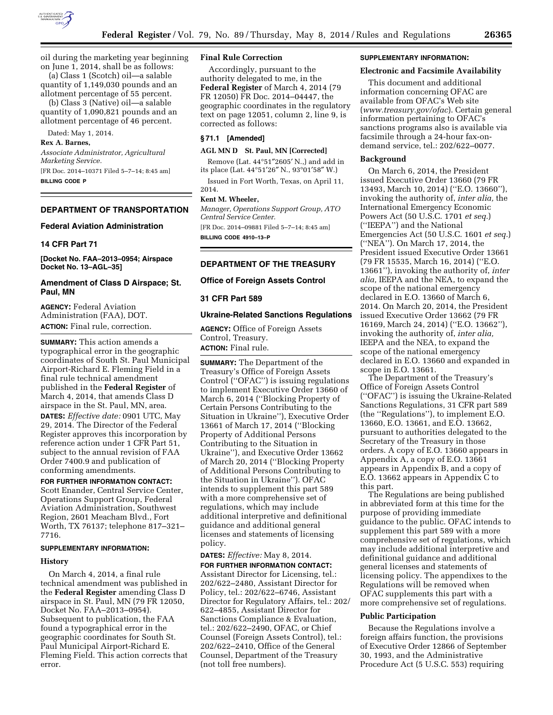

oil during the marketing year beginning on June 1, 2014, shall be as follows:

(a) Class 1 (Scotch) oil—a salable quantity of 1,149,030 pounds and an allotment percentage of 55 percent.

(b) Class 3 (Native) oil—a salable quantity of 1,090,821 pounds and an allotment percentage of 46 percent.

Dated: May 1, 2014.

#### **Rex A. Barnes,**

*Associate Administrator, Agricultural Marketing Service.* 

[FR Doc. 2014–10371 Filed 5–7–14; 8:45 am] **BILLING CODE P** 

# **DEPARTMENT OF TRANSPORTATION**

# **Federal Aviation Administration**

#### **14 CFR Part 71**

**[Docket No. FAA–2013–0954; Airspace Docket No. 13–AGL–35]** 

# **Amendment of Class D Airspace; St. Paul, MN**

**AGENCY:** Federal Aviation Administration (FAA), DOT. **ACTION:** Final rule, correction.

**SUMMARY:** This action amends a typographical error in the geographic coordinates of South St. Paul Municipal Airport-Richard E. Fleming Field in a final rule technical amendment published in the **Federal Register** of March 4, 2014, that amends Class D airspace in the St. Paul, MN, area. **DATES:** *Effective date:* 0901 UTC, May 29, 2014. The Director of the Federal Register approves this incorporation by reference action under 1 CFR Part 51, subject to the annual revision of FAA Order 7400.9 and publication of

# conforming amendments. **FOR FURTHER INFORMATION CONTACT:**

Scott Enander, Central Service Center, Operations Support Group, Federal Aviation Administration, Southwest Region, 2601 Meacham Blvd., Fort Worth, TX 76137; telephone 817–321– 7716.

### **SUPPLEMENTARY INFORMATION:**

#### **History**

On March 4, 2014, a final rule technical amendment was published in the **Federal Register** amending Class D airspace in St. Paul, MN (79 FR 12050, Docket No. FAA–2013–0954). Subsequent to publication, the FAA found a typographical error in the geographic coordinates for South St. Paul Municipal Airport-Richard E. Fleming Field. This action corrects that error.

# **Final Rule Correction**

Accordingly, pursuant to the authority delegated to me, in the **Federal Register** of March 4, 2014 (79 FR 12050) FR Doc. 2014–04447, the geographic coordinates in the regulatory text on page 12051, column 2, line 9, is corrected as follows:

# **§ 71.1 [Amended]**

#### **AGL MN D St. Paul, MN [Corrected]**

Remove (Lat. 44°51″2605′ N.,) and add in its place (Lat. 44°51′26″ N., 93°01′58″ W.)

Issued in Fort Worth, Texas, on April 11, 2014.

### **Kent M. Wheeler,**

*Manager, Operations Support Group, ATO Central Service Center.* 

[FR Doc. 2014–09881 Filed 5–7–14; 8:45 am] **BILLING CODE 4910–13–P** 

# **DEPARTMENT OF THE TREASURY**

#### **Office of Foreign Assets Control**

### **31 CFR Part 589**

#### **Ukraine-Related Sanctions Regulations**

**AGENCY:** Office of Foreign Assets Control, Treasury. **ACTION:** Final rule.

**SUMMARY:** The Department of the Treasury's Office of Foreign Assets Control (''OFAC'') is issuing regulations to implement Executive Order 13660 of March 6, 2014 (''Blocking Property of Certain Persons Contributing to the Situation in Ukraine''), Executive Order 13661 of March 17, 2014 (''Blocking Property of Additional Persons Contributing to the Situation in Ukraine''), and Executive Order 13662 of March 20, 2014 (''Blocking Property of Additional Persons Contributing to the Situation in Ukraine''). OFAC intends to supplement this part 589 with a more comprehensive set of regulations, which may include additional interpretive and definitional guidance and additional general licenses and statements of licensing policy.

**DATES:** *Effective:* May 8, 2014. **FOR FURTHER INFORMATION CONTACT:**  Assistant Director for Licensing, tel.: 202/622–2480, Assistant Director for Policy, tel.: 202/622–6746, Assistant Director for Regulatory Affairs, tel.: 202/ 622–4855, Assistant Director for Sanctions Compliance & Evaluation, tel.: 202/622–2490, OFAC, or Chief Counsel (Foreign Assets Control), tel.: 202/622–2410, Office of the General Counsel, Department of the Treasury (not toll free numbers).

#### **SUPPLEMENTARY INFORMATION:**

### **Electronic and Facsimile Availability**

This document and additional information concerning OFAC are available from OFAC's Web site (*[www.treasury.gov/ofac](http://www.treasury.gov/ofac)*). Certain general information pertaining to OFAC's sanctions programs also is available via facsimile through a 24-hour fax-ondemand service, tel.: 202/622–0077.

#### **Background**

On March 6, 2014, the President issued Executive Order 13660 (79 FR 13493, March 10, 2014) (''E.O. 13660''), invoking the authority of, *inter alia,* the International Emergency Economic Powers Act (50 U.S.C. 1701 *et seq.*) (''IEEPA'') and the National Emergencies Act (50 U.S.C. 1601 *et seq.*) (''NEA''). On March 17, 2014, the President issued Executive Order 13661 (79 FR 15535, March 16, 2014) (''E.O. 13661''), invoking the authority of, *inter alia,* IEEPA and the NEA, to expand the scope of the national emergency declared in E.O. 13660 of March 6, 2014. On March 20, 2014, the President issued Executive Order 13662 (79 FR 16169, March 24, 2014) (''E.O. 13662''), invoking the authority of, *inter alia,*  IEEPA and the NEA, to expand the scope of the national emergency declared in E.O. 13660 and expanded in scope in E.O. 13661.

The Department of the Treasury's Office of Foreign Assets Control (''OFAC'') is issuing the Ukraine-Related Sanctions Regulations, 31 CFR part 589 (the ''Regulations''), to implement E.O. 13660, E.O. 13661, and E.O. 13662, pursuant to authorities delegated to the Secretary of the Treasury in those orders. A copy of E.O. 13660 appears in Appendix A, a copy of E.O. 13661 appears in Appendix B, and a copy of E.O. 13662 appears in Appendix C to this part.

The Regulations are being published in abbreviated form at this time for the purpose of providing immediate guidance to the public. OFAC intends to supplement this part 589 with a more comprehensive set of regulations, which may include additional interpretive and definitional guidance and additional general licenses and statements of licensing policy. The appendixes to the Regulations will be removed when OFAC supplements this part with a more comprehensive set of regulations.

#### **Public Participation**

Because the Regulations involve a foreign affairs function, the provisions of Executive Order 12866 of September 30, 1993, and the Administrative Procedure Act (5 U.S.C. 553) requiring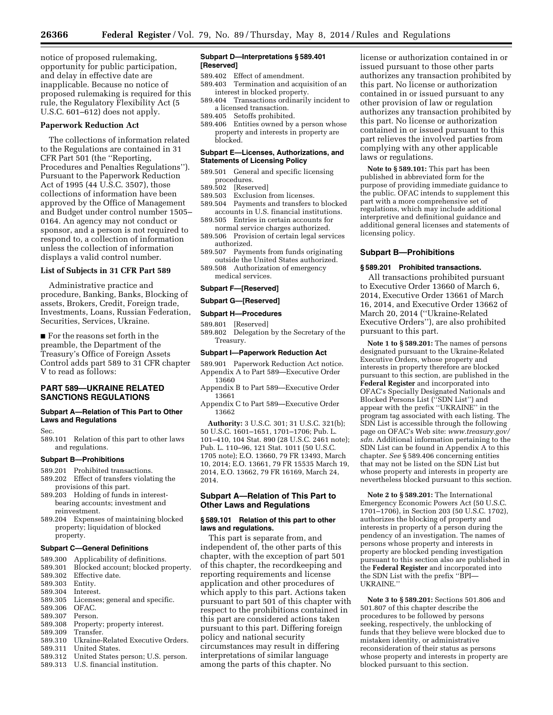notice of proposed rulemaking, opportunity for public participation, and delay in effective date are inapplicable. Because no notice of proposed rulemaking is required for this rule, the Regulatory Flexibility Act (5 U.S.C. 601–612) does not apply.

#### **Paperwork Reduction Act**

The collections of information related to the Regulations are contained in 31 CFR Part 501 (the ''Reporting, Procedures and Penalties Regulations''). Pursuant to the Paperwork Reduction Act of 1995 (44 U.S.C. 3507), those collections of information have been approved by the Office of Management and Budget under control number 1505– 0164. An agency may not conduct or sponsor, and a person is not required to respond to, a collection of information unless the collection of information displays a valid control number.

#### **List of Subjects in 31 CFR Part 589**

Administrative practice and procedure, Banking, Banks, Blocking of assets, Brokers, Credit, Foreign trade, Investments, Loans, Russian Federation, Securities, Services, Ukraine.

■ For the reasons set forth in the preamble, the Department of the Treasury's Office of Foreign Assets Control adds part 589 to 31 CFR chapter V to read as follows:

# **PART 589—UKRAINE RELATED SANCTIONS REGULATIONS**

#### **Subpart A—Relation of This Part to Other Laws and Regulations**

Sec.

# 589.101 Relation of this part to other laws and regulations.

### **Subpart B—Prohibitions**

589.201 Prohibited transactions.

- 589.202 Effect of transfers violating the provisions of this part.
- 589.203 Holding of funds in interestbearing accounts; investment and reinvestment.
- 589.204 Expenses of maintaining blocked property; liquidation of blocked property.

### **Subpart C—General Definitions**

- 589.300 Applicability of definitions.<br>589.301 Blocked account: blocked pr
- 589.301 Blocked account; blocked property.<br>589.302 Effective date
- Effective date.
- 589.303 Entity.
- 589.304 Interest.<br>589.305 Licenses
- Licenses; general and specific.<br>OFAC.
- 589.306
- 589.307 Person.
- 589.308 Property; property interest.<br>589.309 Transfer.
- 589.309 Transfer.
- 589.310 Ukraine-Related Executive Orders.
- United States.
- 589.312 United States person; U.S. person.
- 589.313 U.S. financial institution.

#### **Subpart D—Interpretations § 589.401 [Reserved]**

- 589.402 Effect of amendment.
- 589.403 Termination and acquisition of an interest in blocked property.
- 589.404 Transactions ordinarily incident to a licensed transaction.
- 589.405 Setoffs prohibited.
- 589.406 Entities owned by a person whose property and interests in property are blocked.

### **Subpart E—Licenses, Authorizations, and Statements of Licensing Policy**

- 589.501 General and specific licensing procedures.<br>589.502 [Reser
- [Reserved]
- 589.503 Exclusion from licenses.
- 589.504 Payments and transfers to blocked accounts in U.S. financial institutions. 589.505 Entries in certain accounts for
- normal service charges authorized.
- 589.506 Provision of certain legal services authorized.
- 589.507 Payments from funds originating outside the United States authorized.
- 589.508 Authorization of emergency medical services.

#### **Subpart F—[Reserved]**

#### **Subpart G—[Reserved]**

#### **Subpart H—Procedures**

589.801 [Reserved]

589.802 Delegation by the Secretary of the Treasury.

### **Subpart I—Paperwork Reduction Act**

589.901 Paperwork Reduction Act notice. Appendix A to Part 589—Executive Order 13660

- Appendix B to Part 589—Executive Order 13661
- Appendix C to Part 589—Executive Order 13662

**Authority:** 3 U.S.C. 301; 31 U.S.C. 321(b); 50 U.S.C. 1601–1651, 1701–1706; Pub. L. 101–410, 104 Stat. 890 (28 U.S.C. 2461 note); Pub. L. 110–96, 121 Stat. 1011 (50 U.S.C. 1705 note); E.O. 13660, 79 FR 13493, March 10, 2014; E.O. 13661, 79 FR 15535 March 19, 2014, E.O. 13662, 79 FR 16169, March 24, 2014.

# **Subpart A—Relation of This Part to Other Laws and Regulations**

# **§ 589.101 Relation of this part to other laws and regulations.**

This part is separate from, and independent of, the other parts of this chapter, with the exception of part 501 of this chapter, the recordkeeping and reporting requirements and license application and other procedures of which apply to this part. Actions taken pursuant to part 501 of this chapter with respect to the prohibitions contained in this part are considered actions taken pursuant to this part. Differing foreign policy and national security circumstances may result in differing interpretations of similar language among the parts of this chapter. No

license or authorization contained in or issued pursuant to those other parts authorizes any transaction prohibited by this part. No license or authorization contained in or issued pursuant to any other provision of law or regulation authorizes any transaction prohibited by this part. No license or authorization contained in or issued pursuant to this part relieves the involved parties from complying with any other applicable laws or regulations.

**Note to § 589.101:** This part has been published in abbreviated form for the purpose of providing immediate guidance to the public. OFAC intends to supplement this part with a more comprehensive set of regulations, which may include additional interpretive and definitional guidance and additional general licenses and statements of licensing policy.

# **Subpart B—Prohibitions**

# **§ 589.201 Prohibited transactions.**

All transactions prohibited pursuant to Executive Order 13660 of March 6, 2014, Executive Order 13661 of March 16, 2014, and Executive Order 13662 of March 20, 2014 (''Ukraine-Related Executive Orders''), are also prohibited pursuant to this part.

**Note 1 to § 589.201:** The names of persons designated pursuant to the Ukraine-Related Executive Orders, whose property and interests in property therefore are blocked pursuant to this section, are published in the **Federal Register** and incorporated into OFAC's Specially Designated Nationals and Blocked Persons List (''SDN List'') and appear with the prefix ''UKRAINE'' in the program tag associated with each listing. The SDN List is accessible through the following page on OFAC's Web site: *[www.treasury.gov/](http://www.treasury.gov/sdn)  [sdn](http://www.treasury.gov/sdn)*. Additional information pertaining to the SDN List can be found in Appendix A to this chapter. *See* § 589.406 concerning entities that may not be listed on the SDN List but whose property and interests in property are nevertheless blocked pursuant to this section.

**Note 2 to § 589.201:** The International Emergency Economic Powers Act (50 U.S.C. 1701–1706), in Section 203 (50 U.S.C. 1702), authorizes the blocking of property and interests in property of a person during the pendency of an investigation. The names of persons whose property and interests in property are blocked pending investigation pursuant to this section also are published in the **Federal Register** and incorporated into the SDN List with the prefix ''BPI— UKRAINE.''

**Note 3 to § 589.201:** Sections 501.806 and 501.807 of this chapter describe the procedures to be followed by persons seeking, respectively, the unblocking of funds that they believe were blocked due to mistaken identity, or administrative reconsideration of their status as persons whose property and interests in property are blocked pursuant to this section.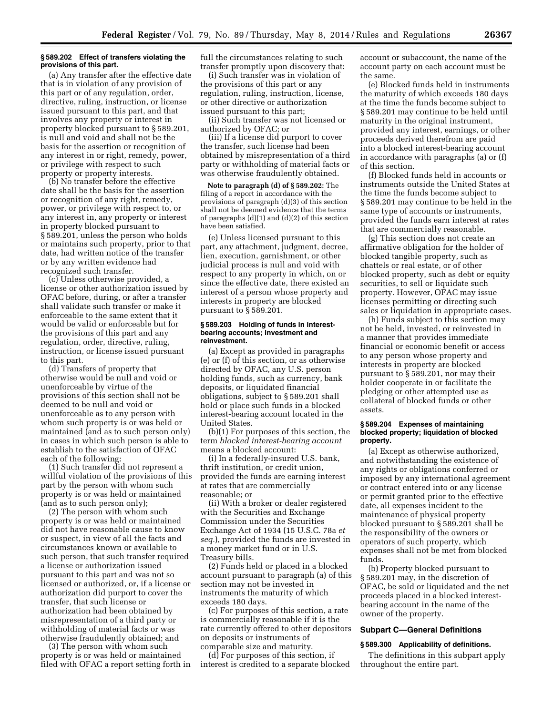#### **§ 589.202 Effect of transfers violating the provisions of this part.**

(a) Any transfer after the effective date that is in violation of any provision of this part or of any regulation, order, directive, ruling, instruction, or license issued pursuant to this part, and that involves any property or interest in property blocked pursuant to § 589.201, is null and void and shall not be the basis for the assertion or recognition of any interest in or right, remedy, power, or privilege with respect to such property or property interests.

(b) No transfer before the effective date shall be the basis for the assertion or recognition of any right, remedy, power, or privilege with respect to, or any interest in, any property or interest in property blocked pursuant to § 589.201, unless the person who holds or maintains such property, prior to that date, had written notice of the transfer or by any written evidence had recognized such transfer.

(c) Unless otherwise provided, a license or other authorization issued by OFAC before, during, or after a transfer shall validate such transfer or make it enforceable to the same extent that it would be valid or enforceable but for the provisions of this part and any regulation, order, directive, ruling, instruction, or license issued pursuant to this part.

(d) Transfers of property that otherwise would be null and void or unenforceable by virtue of the provisions of this section shall not be deemed to be null and void or unenforceable as to any person with whom such property is or was held or maintained (and as to such person only) in cases in which such person is able to establish to the satisfaction of OFAC each of the following:

(1) Such transfer did not represent a willful violation of the provisions of this part by the person with whom such property is or was held or maintained (and as to such person only);

(2) The person with whom such property is or was held or maintained did not have reasonable cause to know or suspect, in view of all the facts and circumstances known or available to such person, that such transfer required a license or authorization issued pursuant to this part and was not so licensed or authorized, or, if a license or authorization did purport to cover the transfer, that such license or authorization had been obtained by misrepresentation of a third party or withholding of material facts or was otherwise fraudulently obtained; and

(3) The person with whom such property is or was held or maintained filed with OFAC a report setting forth in full the circumstances relating to such transfer promptly upon discovery that:

(i) Such transfer was in violation of the provisions of this part or any regulation, ruling, instruction, license, or other directive or authorization issued pursuant to this part;

(ii) Such transfer was not licensed or authorized by OFAC; or

(iii) If a license did purport to cover the transfer, such license had been obtained by misrepresentation of a third party or withholding of material facts or was otherwise fraudulently obtained.

**Note to paragraph (d) of § 589.202:** The filing of a report in accordance with the provisions of paragraph (d)(3) of this section shall not be deemed evidence that the terms of paragraphs (d)(1) and (d)(2) of this section have been satisfied.

(e) Unless licensed pursuant to this part, any attachment, judgment, decree, lien, execution, garnishment, or other judicial process is null and void with respect to any property in which, on or since the effective date, there existed an interest of a person whose property and interests in property are blocked pursuant to § 589.201.

#### **§ 589.203 Holding of funds in interestbearing accounts; investment and reinvestment.**

(a) Except as provided in paragraphs (e) or (f) of this section, or as otherwise directed by OFAC, any U.S. person holding funds, such as currency, bank deposits, or liquidated financial obligations, subject to § 589.201 shall hold or place such funds in a blocked interest-bearing account located in the United States.

(b)(1) For purposes of this section, the term *blocked interest-bearing account*  means a blocked account:

(i) In a federally-insured U.S. bank, thrift institution, or credit union, provided the funds are earning interest at rates that are commercially reasonable; or

(ii) With a broker or dealer registered with the Securities and Exchange Commission under the Securities Exchange Act of 1934 (15 U.S.C. 78a *et seq.*), provided the funds are invested in a money market fund or in U.S. Treasury bills.

(2) Funds held or placed in a blocked account pursuant to paragraph (a) of this section may not be invested in instruments the maturity of which exceeds 180 days.

(c) For purposes of this section, a rate is commercially reasonable if it is the rate currently offered to other depositors on deposits or instruments of comparable size and maturity.

(d) For purposes of this section, if interest is credited to a separate blocked account or subaccount, the name of the account party on each account must be the same.

(e) Blocked funds held in instruments the maturity of which exceeds 180 days at the time the funds become subject to § 589.201 may continue to be held until maturity in the original instrument, provided any interest, earnings, or other proceeds derived therefrom are paid into a blocked interest-bearing account in accordance with paragraphs (a) or (f) of this section.

(f) Blocked funds held in accounts or instruments outside the United States at the time the funds become subject to § 589.201 may continue to be held in the same type of accounts or instruments, provided the funds earn interest at rates that are commercially reasonable.

(g) This section does not create an affirmative obligation for the holder of blocked tangible property, such as chattels or real estate, or of other blocked property, such as debt or equity securities, to sell or liquidate such property. However, OFAC may issue licenses permitting or directing such sales or liquidation in appropriate cases.

(h) Funds subject to this section may not be held, invested, or reinvested in a manner that provides immediate financial or economic benefit or access to any person whose property and interests in property are blocked pursuant to § 589.201, nor may their holder cooperate in or facilitate the pledging or other attempted use as collateral of blocked funds or other assets.

### **§ 589.204 Expenses of maintaining blocked property; liquidation of blocked property.**

(a) Except as otherwise authorized, and notwithstanding the existence of any rights or obligations conferred or imposed by any international agreement or contract entered into or any license or permit granted prior to the effective date, all expenses incident to the maintenance of physical property blocked pursuant to § 589.201 shall be the responsibility of the owners or operators of such property, which expenses shall not be met from blocked funds.

(b) Property blocked pursuant to § 589.201 may, in the discretion of OFAC, be sold or liquidated and the net proceeds placed in a blocked interestbearing account in the name of the owner of the property.

# **Subpart C—General Definitions**

#### **§ 589.300 Applicability of definitions.**

The definitions in this subpart apply throughout the entire part.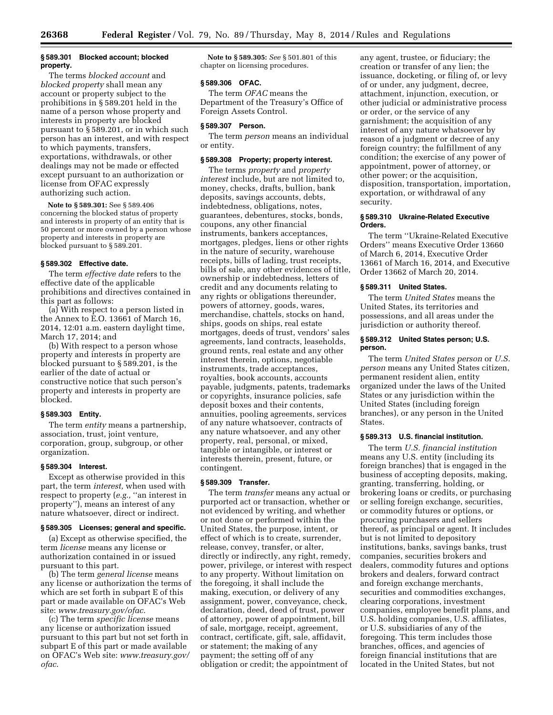#### **§ 589.301 Blocked account; blocked property.**

The terms *blocked account* and *blocked property* shall mean any account or property subject to the prohibitions in § 589.201 held in the name of a person whose property and interests in property are blocked pursuant to § 589.201, or in which such person has an interest, and with respect to which payments, transfers, exportations, withdrawals, or other dealings may not be made or effected except pursuant to an authorization or license from OFAC expressly authorizing such action.

**Note to § 589.301:** See § 589.406 concerning the blocked status of property and interests in property of an entity that is 50 percent or more owned by a person whose property and interests in property are blocked pursuant to § 589.201.

#### **§ 589.302 Effective date.**

The term *effective date* refers to the effective date of the applicable prohibitions and directives contained in this part as follows:

(a) With respect to a person listed in the Annex to E.O. 13661 of March 16, 2014, 12:01 a.m. eastern daylight time, March 17, 2014; and

(b) With respect to a person whose property and interests in property are blocked pursuant to § 589.201, is the earlier of the date of actual or constructive notice that such person's property and interests in property are blocked.

# **§ 589.303 Entity.**

The term *entity* means a partnership, association, trust, joint venture, corporation, group, subgroup, or other organization.

#### **§ 589.304 Interest.**

Except as otherwise provided in this part, the term *interest,* when used with respect to property (*e.g.,* ''an interest in property''), means an interest of any nature whatsoever, direct or indirect.

#### **§ 589.305 Licenses; general and specific.**

(a) Except as otherwise specified, the term *license* means any license or authorization contained in or issued pursuant to this part.

(b) The term *general license* means any license or authorization the terms of which are set forth in subpart E of this part or made available on OFAC's Web site: *[www.treasury.gov/ofac.](http://www.treasury.gov/ofac)* 

(c) The term *specific license* means any license or authorization issued pursuant to this part but not set forth in subpart E of this part or made available on OFAC's Web site: *[www.treasury.gov/](http://www.treasury.gov/ofac)  [ofac](http://www.treasury.gov/ofac)*.

**Note to § 589.305:** *See* § 501.801 of this chapter on licensing procedures.

#### **§ 589.306 OFAC.**

The term *OFAC* means the Department of the Treasury's Office of Foreign Assets Control.

# **§ 589.307 Person.**

The term *person* means an individual or entity.

### **§ 589.308 Property; property interest.**

The terms *property* and *property interest* include, but are not limited to, money, checks, drafts, bullion, bank deposits, savings accounts, debts, indebtedness, obligations, notes, guarantees, debentures, stocks, bonds, coupons, any other financial instruments, bankers acceptances, mortgages, pledges, liens or other rights in the nature of security, warehouse receipts, bills of lading, trust receipts, bills of sale, any other evidences of title, ownership or indebtedness, letters of credit and any documents relating to any rights or obligations thereunder, powers of attorney, goods, wares, merchandise, chattels, stocks on hand, ships, goods on ships, real estate mortgages, deeds of trust, vendors' sales agreements, land contracts, leaseholds, ground rents, real estate and any other interest therein, options, negotiable instruments, trade acceptances, royalties, book accounts, accounts payable, judgments, patents, trademarks or copyrights, insurance policies, safe deposit boxes and their contents, annuities, pooling agreements, services of any nature whatsoever, contracts of any nature whatsoever, and any other property, real, personal, or mixed, tangible or intangible, or interest or interests therein, present, future, or contingent.

#### **§ 589.309 Transfer.**

The term *transfer* means any actual or purported act or transaction, whether or not evidenced by writing, and whether or not done or performed within the United States, the purpose, intent, or effect of which is to create, surrender, release, convey, transfer, or alter, directly or indirectly, any right, remedy, power, privilege, or interest with respect to any property. Without limitation on the foregoing, it shall include the making, execution, or delivery of any assignment, power, conveyance, check, declaration, deed, deed of trust, power of attorney, power of appointment, bill of sale, mortgage, receipt, agreement, contract, certificate, gift, sale, affidavit, or statement; the making of any payment; the setting off of any obligation or credit; the appointment of

any agent, trustee, or fiduciary; the creation or transfer of any lien; the issuance, docketing, or filing of, or levy of or under, any judgment, decree, attachment, injunction, execution, or other judicial or administrative process or order, or the service of any garnishment; the acquisition of any interest of any nature whatsoever by reason of a judgment or decree of any foreign country; the fulfillment of any condition; the exercise of any power of appointment, power of attorney, or other power; or the acquisition, disposition, transportation, importation, exportation, or withdrawal of any security.

### **§ 589.310 Ukraine-Related Executive Orders.**

The term ''Ukraine-Related Executive Orders'' means Executive Order 13660 of March 6, 2014, Executive Order 13661 of March 16, 2014, and Executive Order 13662 of March 20, 2014.

# **§ 589.311 United States.**

The term *United States* means the United States, its territories and possessions, and all areas under the jurisdiction or authority thereof.

#### **§ 589.312 United States person; U.S. person.**

The term *United States person* or *U.S. person* means any United States citizen, permanent resident alien, entity organized under the laws of the United States or any jurisdiction within the United States (including foreign branches), or any person in the United States.

# **§ 589.313 U.S. financial institution.**

The term *U.S. financial institution*  means any U.S. entity (including its foreign branches) that is engaged in the business of accepting deposits, making, granting, transferring, holding, or brokering loans or credits, or purchasing or selling foreign exchange, securities, or commodity futures or options, or procuring purchasers and sellers thereof, as principal or agent. It includes but is not limited to depository institutions, banks, savings banks, trust companies, securities brokers and dealers, commodity futures and options brokers and dealers, forward contract and foreign exchange merchants, securities and commodities exchanges, clearing corporations, investment companies, employee benefit plans, and U.S. holding companies, U.S. affiliates, or U.S. subsidiaries of any of the foregoing. This term includes those branches, offices, and agencies of foreign financial institutions that are located in the United States, but not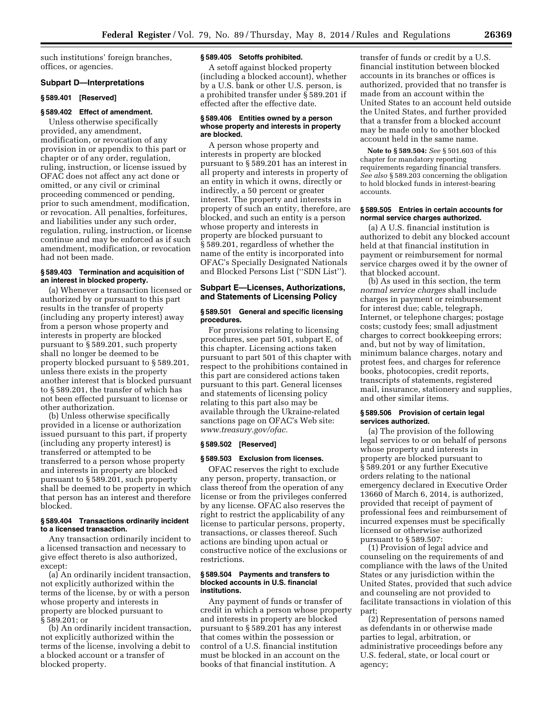such institutions' foreign branches, offices, or agencies.

# **Subpart D—Interpretations**

### **§ 589.401 [Reserved]**

# **§ 589.402 Effect of amendment.**

Unless otherwise specifically provided, any amendment, modification, or revocation of any provision in or appendix to this part or chapter or of any order, regulation, ruling, instruction, or license issued by OFAC does not affect any act done or omitted, or any civil or criminal proceeding commenced or pending, prior to such amendment, modification, or revocation. All penalties, forfeitures, and liabilities under any such order, regulation, ruling, instruction, or license continue and may be enforced as if such amendment, modification, or revocation had not been made.

# **§ 589.403 Termination and acquisition of an interest in blocked property.**

(a) Whenever a transaction licensed or authorized by or pursuant to this part results in the transfer of property (including any property interest) away from a person whose property and interests in property are blocked pursuant to § 589.201, such property shall no longer be deemed to be property blocked pursuant to § 589.201, unless there exists in the property another interest that is blocked pursuant to § 589.201, the transfer of which has not been effected pursuant to license or other authorization.

(b) Unless otherwise specifically provided in a license or authorization issued pursuant to this part, if property (including any property interest) is transferred or attempted to be transferred to a person whose property and interests in property are blocked pursuant to § 589.201, such property shall be deemed to be property in which that person has an interest and therefore blocked.

#### **§ 589.404 Transactions ordinarily incident to a licensed transaction.**

Any transaction ordinarily incident to a licensed transaction and necessary to give effect thereto is also authorized, except:

(a) An ordinarily incident transaction, not explicitly authorized within the terms of the license, by or with a person whose property and interests in property are blocked pursuant to § 589.201; or

(b) An ordinarily incident transaction, not explicitly authorized within the terms of the license, involving a debit to a blocked account or a transfer of blocked property.

# **§ 589.405 Setoffs prohibited.**

A setoff against blocked property (including a blocked account), whether by a U.S. bank or other U.S. person, is a prohibited transfer under § 589.201 if effected after the effective date.

### **§ 589.406 Entities owned by a person whose property and interests in property are blocked.**

A person whose property and interests in property are blocked pursuant to § 589.201 has an interest in all property and interests in property of an entity in which it owns, directly or indirectly, a 50 percent or greater interest. The property and interests in property of such an entity, therefore, are blocked, and such an entity is a person whose property and interests in property are blocked pursuant to § 589.201, regardless of whether the name of the entity is incorporated into OFAC's Specially Designated Nationals and Blocked Persons List (''SDN List'').

# **Subpart E—Licenses, Authorizations, and Statements of Licensing Policy**

## **§ 589.501 General and specific licensing procedures.**

For provisions relating to licensing procedures, see part 501, subpart E, of this chapter. Licensing actions taken pursuant to part 501 of this chapter with respect to the prohibitions contained in this part are considered actions taken pursuant to this part. General licenses and statements of licensing policy relating to this part also may be available through the Ukraine-related sanctions page on OFAC's Web site: *[www.treasury.gov/ofac.](http://www.treasury.gov/ofac)* 

#### **§ 589.502 [Reserved]**

#### **§ 589.503 Exclusion from licenses.**

OFAC reserves the right to exclude any person, property, transaction, or class thereof from the operation of any license or from the privileges conferred by any license. OFAC also reserves the right to restrict the applicability of any license to particular persons, property, transactions, or classes thereof. Such actions are binding upon actual or constructive notice of the exclusions or restrictions.

#### **§ 589.504 Payments and transfers to blocked accounts in U.S. financial institutions.**

Any payment of funds or transfer of credit in which a person whose property and interests in property are blocked pursuant to § 589.201 has any interest that comes within the possession or control of a U.S. financial institution must be blocked in an account on the books of that financial institution. A

transfer of funds or credit by a U.S. financial institution between blocked accounts in its branches or offices is authorized, provided that no transfer is made from an account within the United States to an account held outside the United States, and further provided that a transfer from a blocked account may be made only to another blocked account held in the same name.

**Note to § 589.504:** *See* § 501.603 of this chapter for mandatory reporting requirements regarding financial transfers. *See also* § 589.203 concerning the obligation to hold blocked funds in interest-bearing accounts.

#### **§ 589.505 Entries in certain accounts for normal service charges authorized.**

(a) A U.S. financial institution is authorized to debit any blocked account held at that financial institution in payment or reimbursement for normal service charges owed it by the owner of that blocked account.

(b) As used in this section, the term *normal service charges* shall include charges in payment or reimbursement for interest due; cable, telegraph, Internet, or telephone charges; postage costs; custody fees; small adjustment charges to correct bookkeeping errors; and, but not by way of limitation, minimum balance charges, notary and protest fees, and charges for reference books, photocopies, credit reports, transcripts of statements, registered mail, insurance, stationery and supplies, and other similar items.

#### **§ 589.506 Provision of certain legal services authorized.**

(a) The provision of the following legal services to or on behalf of persons whose property and interests in property are blocked pursuant to § 589.201 or any further Executive orders relating to the national emergency declared in Executive Order 13660 of March 6, 2014, is authorized, provided that receipt of payment of professional fees and reimbursement of incurred expenses must be specifically licensed or otherwise authorized pursuant to § 589.507:

(1) Provision of legal advice and counseling on the requirements of and compliance with the laws of the United States or any jurisdiction within the United States, provided that such advice and counseling are not provided to facilitate transactions in violation of this part;

(2) Representation of persons named as defendants in or otherwise made parties to legal, arbitration, or administrative proceedings before any U.S. federal, state, or local court or agency;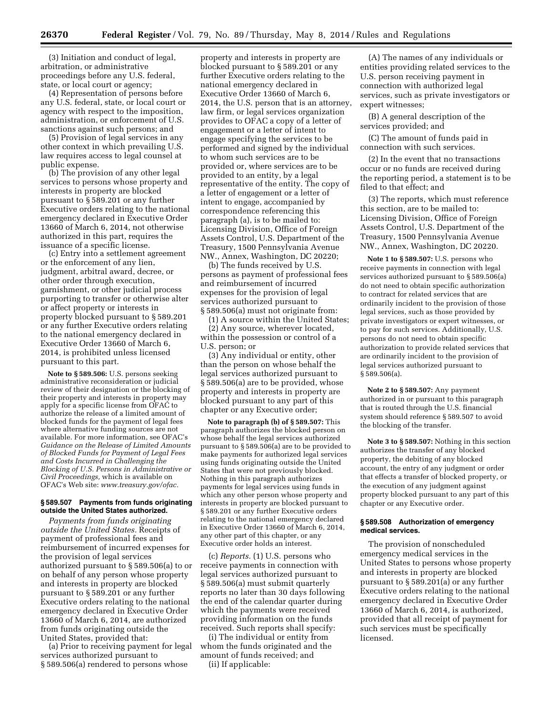(3) Initiation and conduct of legal, arbitration, or administrative proceedings before any U.S. federal, state, or local court or agency;

(4) Representation of persons before any U.S. federal, state, or local court or agency with respect to the imposition, administration, or enforcement of U.S. sanctions against such persons; and

(5) Provision of legal services in any other context in which prevailing U.S. law requires access to legal counsel at public expense.

(b) The provision of any other legal services to persons whose property and interests in property are blocked pursuant to § 589.201 or any further Executive orders relating to the national emergency declared in Executive Order 13660 of March 6, 2014, not otherwise authorized in this part, requires the issuance of a specific license.

(c) Entry into a settlement agreement or the enforcement of any lien, judgment, arbitral award, decree, or other order through execution, garnishment, or other judicial process purporting to transfer or otherwise alter or affect property or interests in property blocked pursuant to § 589.201 or any further Executive orders relating to the national emergency declared in Executive Order 13660 of March 6, 2014, is prohibited unless licensed pursuant to this part.

**Note to § 589.506:** U.S. persons seeking administrative reconsideration or judicial review of their designation or the blocking of their property and interests in property may apply for a specific license from OFAC to authorize the release of a limited amount of blocked funds for the payment of legal fees where alternative funding sources are not available. For more information, see OFAC's *Guidance on the Release of Limited Amounts of Blocked Funds for Payment of Legal Fees and Costs Incurred in Challenging the Blocking of U.S. Persons in Administrative or Civil Proceedings,* which is available on OFAC's Web site: *[www.treasury.gov/ofac.](http://www.treasury.gov/ofac)* 

# **§ 589.507 Payments from funds originating outside the United States authorized.**

*Payments from funds originating outside the United States.* Receipts of payment of professional fees and reimbursement of incurred expenses for the provision of legal services authorized pursuant to § 589.506(a) to or on behalf of any person whose property and interests in property are blocked pursuant to § 589.201 or any further Executive orders relating to the national emergency declared in Executive Order 13660 of March 6, 2014, are authorized from funds originating outside the United States, provided that:

(a) Prior to receiving payment for legal services authorized pursuant to § 589.506(a) rendered to persons whose

property and interests in property are blocked pursuant to § 589.201 or any further Executive orders relating to the national emergency declared in Executive Order 13660 of March 6, 2014, the U.S. person that is an attorney, law firm, or legal services organization provides to OFAC a copy of a letter of engagement or a letter of intent to engage specifying the services to be performed and signed by the individual to whom such services are to be provided or, where services are to be provided to an entity, by a legal representative of the entity. The copy of a letter of engagement or a letter of intent to engage, accompanied by correspondence referencing this paragraph (a), is to be mailed to: Licensing Division, Office of Foreign Assets Control, U.S. Department of the Treasury, 1500 Pennsylvania Avenue NW., Annex, Washington, DC 20220;

(b) The funds received by U.S. persons as payment of professional fees and reimbursement of incurred expenses for the provision of legal services authorized pursuant to § 589.506(a) must not originate from:

(1) A source within the United States; (2) Any source, wherever located, within the possession or control of a U.S. person; or

(3) Any individual or entity, other than the person on whose behalf the legal services authorized pursuant to § 589.506(a) are to be provided, whose property and interests in property are blocked pursuant to any part of this chapter or any Executive order;

**Note to paragraph (b) of § 589.507:** This paragraph authorizes the blocked person on whose behalf the legal services authorized pursuant to § 589.506(a) are to be provided to make payments for authorized legal services using funds originating outside the United States that were not previously blocked. Nothing in this paragraph authorizes payments for legal services using funds in which any other person whose property and interests in property are blocked pursuant to § 589.201 or any further Executive orders relating to the national emergency declared in Executive Order 13660 of March 6, 2014, any other part of this chapter, or any Executive order holds an interest.

(c) *Reports.* (1) U.S. persons who receive payments in connection with legal services authorized pursuant to § 589.506(a) must submit quarterly reports no later than 30 days following the end of the calendar quarter during which the payments were received providing information on the funds received. Such reports shall specify:

(i) The individual or entity from whom the funds originated and the amount of funds received; and (ii) If applicable:

(A) The names of any individuals or entities providing related services to the U.S. person receiving payment in connection with authorized legal services, such as private investigators or expert witnesses;

(B) A general description of the services provided; and

(C) The amount of funds paid in connection with such services.

(2) In the event that no transactions occur or no funds are received during the reporting period, a statement is to be filed to that effect; and

(3) The reports, which must reference this section, are to be mailed to: Licensing Division, Office of Foreign Assets Control, U.S. Department of the Treasury, 1500 Pennsylvania Avenue NW., Annex, Washington, DC 20220.

**Note 1 to § 589.507:** U.S. persons who receive payments in connection with legal services authorized pursuant to § 589.506(a) do not need to obtain specific authorization to contract for related services that are ordinarily incident to the provision of those legal services, such as those provided by private investigators or expert witnesses, or to pay for such services. Additionally, U.S. persons do not need to obtain specific authorization to provide related services that are ordinarily incident to the provision of legal services authorized pursuant to § 589.506(a).

**Note 2 to § 589.507:** Any payment authorized in or pursuant to this paragraph that is routed through the U.S. financial system should reference § 589.507 to avoid the blocking of the transfer.

**Note 3 to § 589.507:** Nothing in this section authorizes the transfer of any blocked property, the debiting of any blocked account, the entry of any judgment or order that effects a transfer of blocked property, or the execution of any judgment against property blocked pursuant to any part of this chapter or any Executive order.

### **§ 589.508 Authorization of emergency medical services.**

The provision of nonscheduled emergency medical services in the United States to persons whose property and interests in property are blocked pursuant to § 589.201(a) or any further Executive orders relating to the national emergency declared in Executive Order 13660 of March 6, 2014, is authorized, provided that all receipt of payment for such services must be specifically licensed.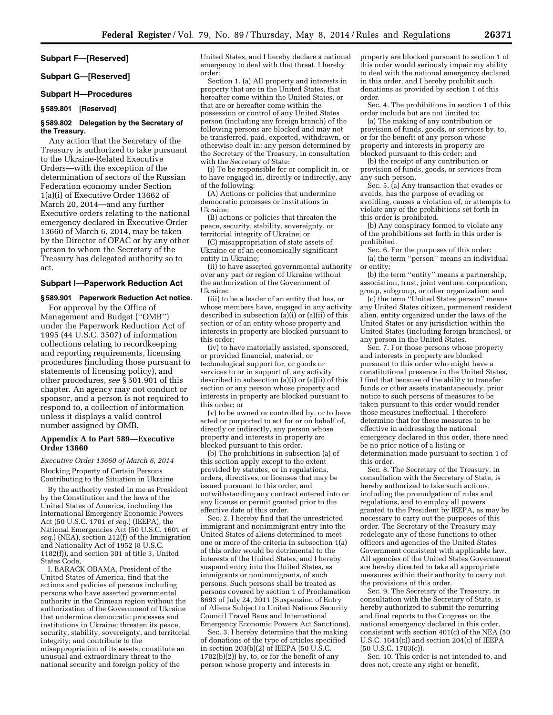# **Subpart F—[Reserved]**

#### **Subpart G—[Reserved]**

# **Subpart H—Procedures**

# **§ 589.801 [Reserved]**

# **§ 589.802 Delegation by the Secretary of the Treasury.**

Any action that the Secretary of the Treasury is authorized to take pursuant to the Ukraine-Related Executive Orders—with the exception of the determination of sectors of the Russian Federation economy under Section 1(a)(i) of Executive Order 13662 of March 20, 2014—and any further Executive orders relating to the national emergency declared in Executive Order 13660 of March 6, 2014, may be taken by the Director of OFAC or by any other person to whom the Secretary of the Treasury has delegated authority so to act.

# **Subpart I—Paperwork Reduction Act**

# **§ 589.901 Paperwork Reduction Act notice.**

For approval by the Office of Management and Budget (''OMB'') under the Paperwork Reduction Act of 1995 (44 U.S.C. 3507) of information collections relating to recordkeeping and reporting requirements, licensing procedures (including those pursuant to statements of licensing policy), and other procedures, *see* § 501.901 of this chapter. An agency may not conduct or sponsor, and a person is not required to respond to, a collection of information unless it displays a valid control number assigned by OMB.

### **Appendix A to Part 589—Executive Order 13660**

*Executive Order 13660 of March 6, 2014*  Blocking Property of Certain Persons Contributing to the Situation in Ukraine

By the authority vested in me as President by the Constitution and the laws of the United States of America, including the International Emergency Economic Powers Act (50 U.S.C. 1701 *et seq.*) (IEEPA), the National Emergencies Act (50 U.S.C. 1601 *et seq.*) (NEA), section 212(f) of the Immigration and Nationality Act of 1952 (8 U.S.C. 1182(f)), and section 301 of title 3, United States Code,

I, BARACK OBAMA, President of the United States of America, find that the actions and policies of persons including persons who have asserted governmental authority in the Crimean region without the authorization of the Government of Ukraine that undermine democratic processes and institutions in Ukraine; threaten its peace, security, stability, sovereignty, and territorial integrity; and contribute to the misappropriation of its assets, constitute an unusual and extraordinary threat to the national security and foreign policy of the

United States, and I hereby declare a national emergency to deal with that threat. I hereby order:

Section 1. (a) All property and interests in property that are in the United States, that hereafter come within the United States, or that are or hereafter come within the possession or control of any United States person (including any foreign branch) of the following persons are blocked and may not be transferred, paid, exported, withdrawn, or otherwise dealt in: any person determined by the Secretary of the Treasury, in consultation with the Secretary of State:

(i) To be responsible for or complicit in, or to have engaged in, directly or indirectly, any of the following:

(A) Actions or policies that undermine democratic processes or institutions in Ukraine;

(B) actions or policies that threaten the peace, security, stability, sovereignty, or territorial integrity of Ukraine; or

(C) misappropriation of state assets of Ukraine or of an economically significant entity in Ukraine;

(ii) to have asserted governmental authority over any part or region of Ukraine without the authorization of the Government of Ukraine;

(iii) to be a leader of an entity that has, or whose members have, engaged in any activity described in subsection (a)(i) or (a)(ii) of this section or of an entity whose property and interests in property are blocked pursuant to this order;

(iv) to have materially assisted, sponsored, or provided financial, material, or technological support for, or goods or services to or in support of, any activity described in subsection (a)(i) or (a)(ii) of this section or any person whose property and interests in property are blocked pursuant to this order; or

(v) to be owned or controlled by, or to have acted or purported to act for or on behalf of, directly or indirectly, any person whose property and interests in property are blocked pursuant to this order.

(b) The prohibitions in subsection (a) of this section apply except to the extent provided by statutes, or in regulations, orders, directives, or licenses that may be issued pursuant to this order, and notwithstanding any contract entered into or any license or permit granted prior to the effective date of this order.

Sec. 2. I hereby find that the unrestricted immigrant and nonimmigrant entry into the United States of aliens determined to meet one or more of the criteria in subsection 1(a) of this order would be detrimental to the interests of the United States, and I hereby suspend entry into the United States, as immigrants or nonimmigrants, of such persons. Such persons shall be treated as persons covered by section 1 of Proclamation 8693 of July 24, 2011 (Suspension of Entry of Aliens Subject to United Nations Security Council Travel Bans and International Emergency Economic Powers Act Sanctions).

Sec. 3. I hereby determine that the making of donations of the type of articles specified in section  $203(b)(2)$  of IEEPA (50 U.S.C.  $1702(b)(2)$ ) by, to, or for the benefit of any person whose property and interests in

property are blocked pursuant to section 1 of this order would seriously impair my ability to deal with the national emergency declared in this order, and I hereby prohibit such donations as provided by section 1 of this order.

Sec. 4. The prohibitions in section 1 of this order include but are not limited to:

(a) The making of any contribution or provision of funds, goods, or services by, to, or for the benefit of any person whose property and interests in property are blocked pursuant to this order; and

(b) the receipt of any contribution or provision of funds, goods, or services from any such person.

Sec. 5. (a) Any transaction that evades or avoids, has the purpose of evading or avoiding, causes a violation of, or attempts to violate any of the prohibitions set forth in this order is prohibited.

(b) Any conspiracy formed to violate any of the prohibitions set forth in this order is prohibited.

Sec. 6. For the purposes of this order: (a) the term ''person'' means an individual or entity;

(b) the term ''entity'' means a partnership, association, trust, joint venture, corporation, group, subgroup, or other organization; and

(c) the term ''United States person'' means any United States citizen, permanent resident alien, entity organized under the laws of the United States or any jurisdiction within the United States (including foreign branches), or any person in the United States.

Sec. 7. For those persons whose property and interests in property are blocked pursuant to this order who might have a constitutional presence in the United States, I find that because of the ability to transfer funds or other assets instantaneously, prior notice to such persons of measures to be taken pursuant to this order would render those measures ineffectual. I therefore determine that for these measures to be effective in addressing the national emergency declared in this order, there need be no prior notice of a listing or determination made pursuant to section 1 of this order.

Sec. 8. The Secretary of the Treasury, in consultation with the Secretary of State, is hereby authorized to take such actions, including the promulgation of rules and regulations, and to employ all powers granted to the President by IEEPA, as may be necessary to carry out the purposes of this order. The Secretary of the Treasury may redelegate any of these functions to other officers and agencies of the United States Government consistent with applicable law. All agencies of the United States Government are hereby directed to take all appropriate measures within their authority to carry out the provisions of this order.

Sec. 9. The Secretary of the Treasury, in consultation with the Secretary of State, is hereby authorized to submit the recurring and final reports to the Congress on the national emergency declared in this order, consistent with section 401(c) of the NEA (50 U.S.C. 1641(c)) and section 204(c) of IEEPA (50 U.S.C. 1703(c)).

Sec. 10. This order is not intended to, and does not, create any right or benefit,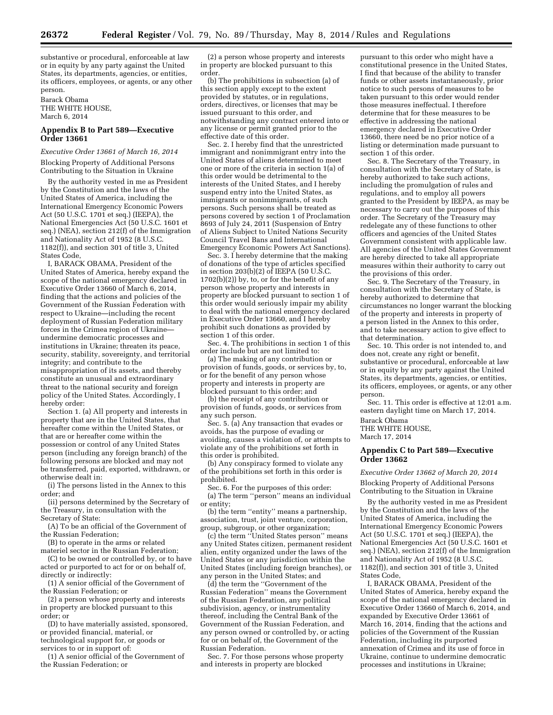substantive or procedural, enforceable at law or in equity by any party against the United States, its departments, agencies, or entities, its officers, employees, or agents, or any other person.

#### Barack Obama THE WHITE HOUSE, March 6, 2014

# **Appendix B to Part 589—Executive Order 13661**

#### *Executive Order 13661 of March 16, 2014*

Blocking Property of Additional Persons Contributing to the Situation in Ukraine

By the authority vested in me as President by the Constitution and the laws of the United States of America, including the International Emergency Economic Powers Act (50 U.S.C. 1701 et seq.) (IEEPA), the National Emergencies Act (50 U.S.C. 1601 et seq.) (NEA), section 212(f) of the Immigration and Nationality Act of 1952 (8 U.S.C. 1182(f)), and section 301 of title 3, United States Code,

I, BARACK OBAMA, President of the United States of America, hereby expand the scope of the national emergency declared in Executive Order 13660 of March 6, 2014, finding that the actions and policies of the Government of the Russian Federation with respect to Ukraine—including the recent deployment of Russian Federation military forces in the Crimea region of Ukraine undermine democratic processes and institutions in Ukraine; threaten its peace, security, stability, sovereignty, and territorial integrity; and contribute to the misappropriation of its assets, and thereby constitute an unusual and extraordinary threat to the national security and foreign policy of the United States. Accordingly, I hereby order:

Section 1. (a) All property and interests in property that are in the United States, that hereafter come within the United States, or that are or hereafter come within the possession or control of any United States person (including any foreign branch) of the following persons are blocked and may not be transferred, paid, exported, withdrawn, or otherwise dealt in:

(i) The persons listed in the Annex to this order; and

(ii) persons determined by the Secretary of the Treasury, in consultation with the Secretary of State:

(A) To be an official of the Government of the Russian Federation;

(B) to operate in the arms or related materiel sector in the Russian Federation;

(C) to be owned or controlled by, or to have acted or purported to act for or on behalf of, directly or indirectly:

(1) A senior official of the Government of the Russian Federation; or

(2) a person whose property and interests in property are blocked pursuant to this order; or

(D) to have materially assisted, sponsored, or provided financial, material, or

technological support for, or goods or services to or in support of:

(1) A senior official of the Government of the Russian Federation; or

(2) a person whose property and interests in property are blocked pursuant to this order.

(b) The prohibitions in subsection (a) of this section apply except to the extent provided by statutes, or in regulations, orders, directives, or licenses that may be issued pursuant to this order, and notwithstanding any contract entered into or any license or permit granted prior to the effective date of this order.

Sec. 2. I hereby find that the unrestricted immigrant and nonimmigrant entry into the United States of aliens determined to meet one or more of the criteria in section 1(a) of this order would be detrimental to the interests of the United States, and I hereby suspend entry into the United States, as immigrants or nonimmigrants, of such persons. Such persons shall be treated as persons covered by section 1 of Proclamation 8693 of July 24, 2011 (Suspension of Entry of Aliens Subject to United Nations Security Council Travel Bans and International Emergency Economic Powers Act Sanctions).

Sec. 3. I hereby determine that the making of donations of the type of articles specified in section 203(b)(2) of IEEPA (50 U.S.C.  $1702(b)(2)$ ) by, to, or for the benefit of any person whose property and interests in property are blocked pursuant to section 1 of this order would seriously impair my ability to deal with the national emergency declared in Executive Order 13660, and I hereby prohibit such donations as provided by section 1 of this order.

Sec. 4. The prohibitions in section 1 of this order include but are not limited to:

(a) The making of any contribution or provision of funds, goods, or services by, to, or for the benefit of any person whose property and interests in property are blocked pursuant to this order; and

(b) the receipt of any contribution or provision of funds, goods, or services from any such person.

Sec. 5. (a) Any transaction that evades or avoids, has the purpose of evading or avoiding, causes a violation of, or attempts to violate any of the prohibitions set forth in this order is prohibited.

(b) Any conspiracy formed to violate any of the prohibitions set forth in this order is prohibited.

Sec. 6. For the purposes of this order:

(a) The term ''person'' means an individual or entity;

(b) the term ''entity'' means a partnership, association, trust, joint venture, corporation, group, subgroup, or other organization;

(c) the term ''United States person'' means any United States citizen, permanent resident alien, entity organized under the laws of the United States or any jurisdiction within the United States (including foreign branches), or any person in the United States; and

(d) the term the ''Government of the Russian Federation'' means the Government of the Russian Federation, any political subdivision, agency, or instrumentality thereof, including the Central Bank of the Government of the Russian Federation, and any person owned or controlled by, or acting for or on behalf of, the Government of the Russian Federation.

Sec. 7. For those persons whose property and interests in property are blocked

pursuant to this order who might have a constitutional presence in the United States, I find that because of the ability to transfer funds or other assets instantaneously, prior notice to such persons of measures to be taken pursuant to this order would render those measures ineffectual. I therefore determine that for these measures to be effective in addressing the national emergency declared in Executive Order 13660, there need be no prior notice of a listing or determination made pursuant to section 1 of this order.

Sec. 8. The Secretary of the Treasury, in consultation with the Secretary of State, is hereby authorized to take such actions, including the promulgation of rules and regulations, and to employ all powers granted to the President by IEEPA, as may be necessary to carry out the purposes of this order. The Secretary of the Treasury may redelegate any of these functions to other officers and agencies of the United States Government consistent with applicable law. All agencies of the United States Government are hereby directed to take all appropriate measures within their authority to carry out the provisions of this order.

Sec. 9. The Secretary of the Treasury, in consultation with the Secretary of State, is hereby authorized to determine that circumstances no longer warrant the blocking of the property and interests in property of a person listed in the Annex to this order, and to take necessary action to give effect to that determination.

Sec. 10. This order is not intended to, and does not, create any right or benefit, substantive or procedural, enforceable at law or in equity by any party against the United States, its departments, agencies, or entities, its officers, employees, or agents, or any other person.

Sec. 11. This order is effective at 12:01 a.m. eastern daylight time on March 17, 2014.

Barack Obama THE WHITE HOUSE, March 17, 2014

# **Appendix C to Part 589—Executive Order 13662**

*Executive Order 13662 of March 20, 2014*  Blocking Property of Additional Persons Contributing to the Situation in Ukraine

By the authority vested in me as President by the Constitution and the laws of the United States of America, including the International Emergency Economic Powers Act (50 U.S.C. 1701 et seq.) (IEEPA), the National Emergencies Act (50 U.S.C. 1601 et seq.) (NEA), section 212(f) of the Immigration and Nationality Act of 1952 (8 U.S.C. 1182(f)), and section 301 of title 3, United States Code,

I, BARACK OBAMA, President of the United States of America, hereby expand the scope of the national emergency declared in Executive Order 13660 of March 6, 2014, and expanded by Executive Order 13661 of March 16, 2014, finding that the actions and policies of the Government of the Russian Federation, including its purported annexation of Crimea and its use of force in Ukraine, continue to undermine democratic processes and institutions in Ukraine;